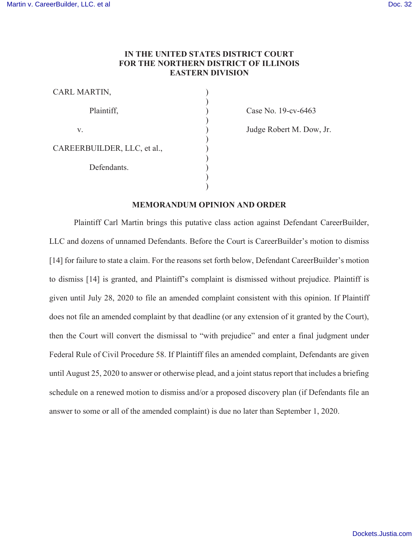# IN THE UNITED STATES DISTRICT COURT FOR THE NORTHERN DISTRICT OF ILLINOIS EASTERN DIVISION

) )  $\mathcal{L}$ ) ) ) )  $\mathcal{L}$ ) ) )

| CARL MARTIN,                |  |
|-----------------------------|--|
| Plaintiff,                  |  |
| V.                          |  |
| CAREERBUILDER, LLC, et al., |  |
| Defendants.                 |  |
|                             |  |

Case No. 19-cv-6463

Judge Robert M. Dow, Jr.

## MEMORANDUM OPINION AND ORDER

Plaintiff Carl Martin brings this putative class action against Defendant CareerBuilder, LLC and dozens of unnamed Defendants. Before the Court is CareerBuilder's motion to dismiss [14] for failure to state a claim. For the reasons set forth below, Defendant CareerBuilder's motion to dismiss [14] is granted, and Plaintiff's complaint is dismissed without prejudice. Plaintiff is given until July 28, 2020 to file an amended complaint consistent with this opinion. If Plaintiff does not file an amended complaint by that deadline (or any extension of it granted by the Court), then the Court will convert the dismissal to "with prejudice" and enter a final judgment under Federal Rule of Civil Procedure 58. If Plaintiff files an amended complaint, Defendants are given until August 25, 2020 to answer or otherwise plead, and a joint status report that includes a briefing schedule on a renewed motion to dismiss and/or a proposed discovery plan (if Defendants file an answer to some or all of the amended complaint) is due no later than September 1, 2020.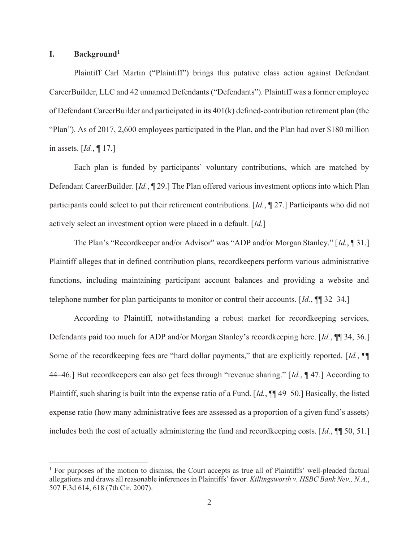## I. Background<sup>1</sup>

Plaintiff Carl Martin ("Plaintiff") brings this putative class action against Defendant CareerBuilder, LLC and 42 unnamed Defendants ("Defendants"). Plaintiff was a former employee of Defendant CareerBuilder and participated in its 401(k) defined-contribution retirement plan (the "Plan"). As of 2017, 2,600 employees participated in the Plan, and the Plan had over \$180 million in assets.  $\left[ Id., \P 17. \right]$ 

Each plan is funded by participants' voluntary contributions, which are matched by Defendant CareerBuilder. [Id., ¶ 29.] The Plan offered various investment options into which Plan participants could select to put their retirement contributions. [Id., ¶ 27.] Participants who did not actively select an investment option were placed in a default. [Id.]

The Plan's "Recordkeeper and/or Advisor" was "ADP and/or Morgan Stanley." [Id., 1] 31.] Plaintiff alleges that in defined contribution plans, recordkeepers perform various administrative functions, including maintaining participant account balances and providing a website and telephone number for plan participants to monitor or control their accounts. [Id.,  $\P$ ] 32–34.]

According to Plaintiff, notwithstanding a robust market for recordkeeping services, Defendants paid too much for ADP and/or Morgan Stanley's recordkeeping here. [Id., ¶¶ 34, 36.] Some of the recordkeeping fees are "hard dollar payments," that are explicitly reported. [Id., ¶ 44–46.] But recordkeepers can also get fees through "revenue sharing." [Id., ¶ 47.] According to Plaintiff, such sharing is built into the expense ratio of a Fund.  $Id$ ,  $\P\P$  49–50.] Basically, the listed expense ratio (how many administrative fees are assessed as a proportion of a given fund's assets) includes both the cost of actually administering the fund and recordkeeping costs. [Id., ¶¶ 50, 51.]

<sup>&</sup>lt;sup>1</sup> For purposes of the motion to dismiss, the Court accepts as true all of Plaintiffs' well-pleaded factual allegations and draws all reasonable inferences in Plaintiffs' favor. Killingsworth v. HSBC Bank Nev., N.A., 507 F.3d 614, 618 (7th Cir. 2007).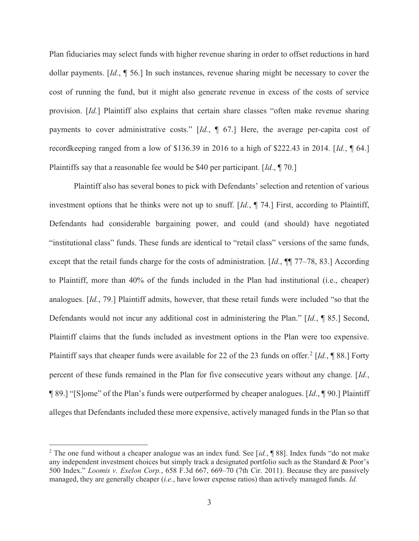Plan fiduciaries may select funds with higher revenue sharing in order to offset reductions in hard dollar payments. [Id., ¶ 56.] In such instances, revenue sharing might be necessary to cover the cost of running the fund, but it might also generate revenue in excess of the costs of service provision. [Id.] Plaintiff also explains that certain share classes "often make revenue sharing payments to cover administrative costs."  $Id.$ ,  $\P$  67.] Here, the average per-capita cost of recordkeeping ranged from a low of \$136.39 in 2016 to a high of \$222.43 in 2014. [Id., ¶ 64.] Plaintiffs say that a reasonable fee would be \$40 per participant. [Id., \int 70.]

Plaintiff also has several bones to pick with Defendants' selection and retention of various investment options that he thinks were not up to snuff.  $Id$ ,  $\P$  74.] First, according to Plaintiff, Defendants had considerable bargaining power, and could (and should) have negotiated "institutional class" funds. These funds are identical to "retail class" versions of the same funds, except that the retail funds charge for the costs of administration.  $Id.$ ,  $\P\P$  77–78, 83.] According to Plaintiff, more than 40% of the funds included in the Plan had institutional (i.e., cheaper) analogues. [Id., 79.] Plaintiff admits, however, that these retail funds were included "so that the Defendants would not incur any additional cost in administering the Plan." [Id., ¶ 85.] Second, Plaintiff claims that the funds included as investment options in the Plan were too expensive. Plaintiff says that cheaper funds were available for 22 of the 23 funds on offer.<sup>2</sup> [Id.,  $\P$  88.] Forty percent of these funds remained in the Plan for five consecutive years without any change. [Id., ¶ 89.] "[S]ome" of the Plan's funds were outperformed by cheaper analogues. [Id., ¶ 90.] Plaintiff alleges that Defendants included these more expensive, actively managed funds in the Plan so that

<sup>&</sup>lt;sup>2</sup> The one fund without a cheaper analogue was an index fund. See [id., ¶ 88]. Index funds "do not make any independent investment choices but simply track a designated portfolio such as the Standard & Poor's 500 Index." Loomis v. Exelon Corp., 658 F.3d 667, 669–70 (7th Cir. 2011). Because they are passively managed, they are generally cheaper (*i.e.*, have lower expense ratios) than actively managed funds. *Id.*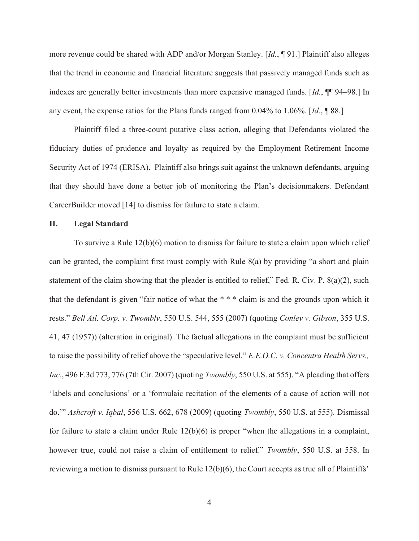more revenue could be shared with ADP and/or Morgan Stanley. [Id., ¶ 91.] Plaintiff also alleges that the trend in economic and financial literature suggests that passively managed funds such as indexes are generally better investments than more expensive managed funds. [Id.,  $\P$ ] 94–98.] In any event, the expense ratios for the Plans funds ranged from 0.04% to 1.06%. [Id., ¶ 88.]

Plaintiff filed a three-count putative class action, alleging that Defendants violated the fiduciary duties of prudence and loyalty as required by the Employment Retirement Income Security Act of 1974 (ERISA). Plaintiff also brings suit against the unknown defendants, arguing that they should have done a better job of monitoring the Plan's decisionmakers. Defendant CareerBuilder moved [14] to dismiss for failure to state a claim.

### II. Legal Standard

To survive a Rule 12(b)(6) motion to dismiss for failure to state a claim upon which relief can be granted, the complaint first must comply with Rule 8(a) by providing "a short and plain statement of the claim showing that the pleader is entitled to relief," Fed. R. Civ. P. 8(a)(2), such that the defendant is given "fair notice of what the \* \* \* claim is and the grounds upon which it rests." Bell Atl. Corp. v. Twombly, 550 U.S. 544, 555 (2007) (quoting Conley v. Gibson, 355 U.S. 41, 47 (1957)) (alteration in original). The factual allegations in the complaint must be sufficient to raise the possibility of relief above the "speculative level." E.E.O.C. v. Concentra Health Servs., Inc., 496 F.3d 773, 776 (7th Cir. 2007) (quoting Twombly, 550 U.S. at 555). "A pleading that offers 'labels and conclusions' or a 'formulaic recitation of the elements of a cause of action will not do.'" Ashcroft v. Iqbal, 556 U.S. 662, 678 (2009) (quoting Twombly, 550 U.S. at 555). Dismissal for failure to state a claim under Rule 12(b)(6) is proper "when the allegations in a complaint, however true, could not raise a claim of entitlement to relief." Twombly, 550 U.S. at 558. In reviewing a motion to dismiss pursuant to Rule  $12(b)(6)$ , the Court accepts as true all of Plaintiffs'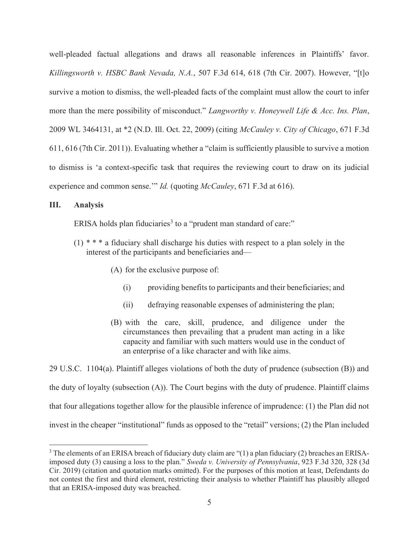well-pleaded factual allegations and draws all reasonable inferences in Plaintiffs' favor. Killingsworth v. HSBC Bank Nevada, N.A., 507 F.3d 614, 618 (7th Cir. 2007). However, "[t]o survive a motion to dismiss, the well-pleaded facts of the complaint must allow the court to infer more than the mere possibility of misconduct." Langworthy v. Honeywell Life & Acc. Ins. Plan, 2009 WL 3464131, at \*2 (N.D. Ill. Oct. 22, 2009) (citing McCauley v. City of Chicago, 671 F.3d 611, 616 (7th Cir. 2011)). Evaluating whether a "claim is sufficiently plausible to survive a motion to dismiss is 'a context-specific task that requires the reviewing court to draw on its judicial experience and common sense.'" Id. (quoting McCauley, 671 F.3d at 616).

## III. Analysis

ERISA holds plan fiduciaries<sup>3</sup> to a "prudent man standard of care:"

- (1) \* \* \* a fiduciary shall discharge his duties with respect to a plan solely in the interest of the participants and beneficiaries and—
	- (A) for the exclusive purpose of:
		- (i) providing benefits to participants and their beneficiaries; and
		- (ii) defraying reasonable expenses of administering the plan;
	- (B) with the care, skill, prudence, and diligence under the circumstances then prevailing that a prudent man acting in a like capacity and familiar with such matters would use in the conduct of an enterprise of a like character and with like aims.

29 U.S.C. 1104(a). Plaintiff alleges violations of both the duty of prudence (subsection (B)) and the duty of loyalty (subsection (A)). The Court begins with the duty of prudence. Plaintiff claims that four allegations together allow for the plausible inference of imprudence: (1) the Plan did not invest in the cheaper "institutional" funds as opposed to the "retail" versions; (2) the Plan included

 $3$  The elements of an ERISA breach of fiduciary duty claim are "(1) a plan fiduciary (2) breaches an ERISAimposed duty (3) causing a loss to the plan." Sweda v. University of Pennsylvania, 923 F.3d 320, 328 (3d Cir. 2019) (citation and quotation marks omitted). For the purposes of this motion at least, Defendants do not contest the first and third element, restricting their analysis to whether Plaintiff has plausibly alleged that an ERISA-imposed duty was breached.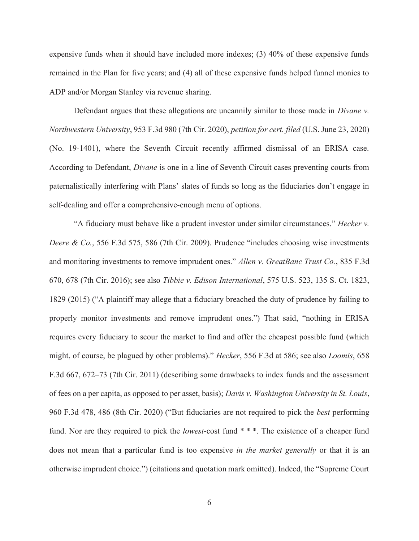expensive funds when it should have included more indexes; (3) 40% of these expensive funds remained in the Plan for five years; and (4) all of these expensive funds helped funnel monies to ADP and/or Morgan Stanley via revenue sharing.

Defendant argues that these allegations are uncannily similar to those made in *Divane v*. Northwestern University, 953 F.3d 980 (7th Cir. 2020), petition for cert. filed (U.S. June 23, 2020) (No. 19-1401), where the Seventh Circuit recently affirmed dismissal of an ERISA case. According to Defendant, Divane is one in a line of Seventh Circuit cases preventing courts from paternalistically interfering with Plans' slates of funds so long as the fiduciaries don't engage in self-dealing and offer a comprehensive-enough menu of options.

"A fiduciary must behave like a prudent investor under similar circumstances." Hecker v. Deere & Co., 556 F.3d 575, 586 (7th Cir. 2009). Prudence "includes choosing wise investments and monitoring investments to remove imprudent ones." Allen v. GreatBanc Trust Co., 835 F.3d 670, 678 (7th Cir. 2016); see also Tibbie v. Edison International, 575 U.S. 523, 135 S. Ct. 1823, 1829 (2015) ("A plaintiff may allege that a fiduciary breached the duty of prudence by failing to properly monitor investments and remove imprudent ones.") That said, "nothing in ERISA requires every fiduciary to scour the market to find and offer the cheapest possible fund (which might, of course, be plagued by other problems)." Hecker, 556 F.3d at 586; see also Loomis, 658 F.3d 667, 672–73 (7th Cir. 2011) (describing some drawbacks to index funds and the assessment of fees on a per capita, as opposed to per asset, basis); Davis v. Washington University in St. Louis, 960 F.3d 478, 486 (8th Cir. 2020) ("But fiduciaries are not required to pick the best performing fund. Nor are they required to pick the *lowest*-cost fund \* \* \*. The existence of a cheaper fund does not mean that a particular fund is too expensive *in the market generally* or that it is an otherwise imprudent choice.") (citations and quotation mark omitted). Indeed, the "Supreme Court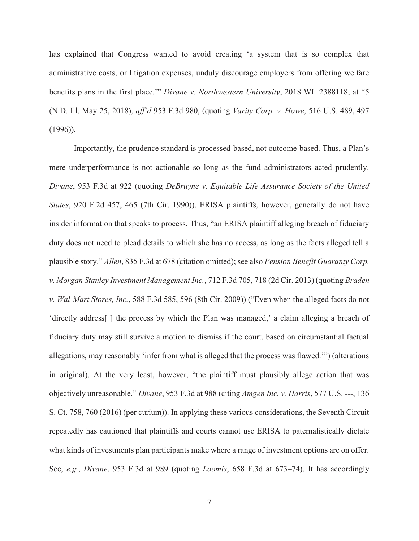has explained that Congress wanted to avoid creating 'a system that is so complex that administrative costs, or litigation expenses, unduly discourage employers from offering welfare benefits plans in the first place.'" Divane v. Northwestern University, 2018 WL 2388118, at \*5 (N.D. Ill. May 25, 2018), aff'd 953 F.3d 980, (quoting Varity Corp. v. Howe, 516 U.S. 489, 497 (1996)).

Importantly, the prudence standard is processed-based, not outcome-based. Thus, a Plan's mere underperformance is not actionable so long as the fund administrators acted prudently. Divane, 953 F.3d at 922 (quoting DeBruyne v. Equitable Life Assurance Society of the United States, 920 F.2d 457, 465 (7th Cir. 1990)). ERISA plaintiffs, however, generally do not have insider information that speaks to process. Thus, "an ERISA plaintiff alleging breach of fiduciary duty does not need to plead details to which she has no access, as long as the facts alleged tell a plausible story." Allen, 835 F.3d at 678 (citation omitted); see also Pension Benefit Guaranty Corp. v. Morgan Stanley Investment Management Inc., 712 F.3d 705, 718 (2d Cir. 2013) (quoting Braden v. Wal-Mart Stores, Inc., 588 F.3d 585, 596 (8th Cir. 2009)) ("Even when the alleged facts do not 'directly address[ ] the process by which the Plan was managed,' a claim alleging a breach of fiduciary duty may still survive a motion to dismiss if the court, based on circumstantial factual allegations, may reasonably 'infer from what is alleged that the process was flawed.'") (alterations in original). At the very least, however, "the plaintiff must plausibly allege action that was objectively unreasonable." Divane, 953 F.3d at 988 (citing Amgen Inc. v. Harris, 577 U.S. ---, 136 S. Ct. 758, 760 (2016) (per curium)). In applying these various considerations, the Seventh Circuit repeatedly has cautioned that plaintiffs and courts cannot use ERISA to paternalistically dictate what kinds of investments plan participants make where a range of investment options are on offer. See, e.g., Divane, 953 F.3d at 989 (quoting Loomis, 658 F.3d at 673–74). It has accordingly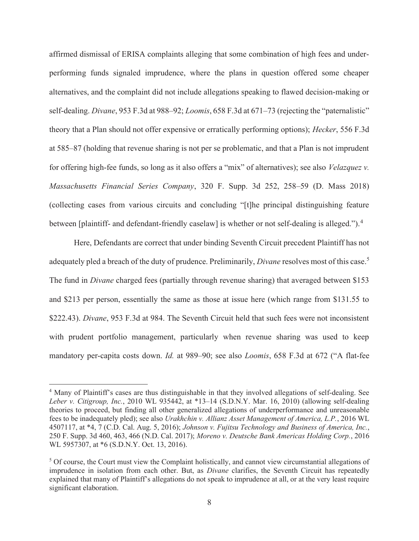affirmed dismissal of ERISA complaints alleging that some combination of high fees and underperforming funds signaled imprudence, where the plans in question offered some cheaper alternatives, and the complaint did not include allegations speaking to flawed decision-making or self-dealing. Divane, 953 F.3d at 988–92; Loomis, 658 F.3d at 671–73 (rejecting the "paternalistic" theory that a Plan should not offer expensive or erratically performing options); Hecker, 556 F.3d at 585–87 (holding that revenue sharing is not per se problematic, and that a Plan is not imprudent for offering high-fee funds, so long as it also offers a "mix" of alternatives); see also Velazquez v. Massachusetts Financial Series Company, 320 F. Supp. 3d 252, 258–59 (D. Mass 2018) (collecting cases from various circuits and concluding "[t]he principal distinguishing feature between [plaintiff- and defendant-friendly caselaw] is whether or not self-dealing is alleged.").<sup>4</sup>

Here, Defendants are correct that under binding Seventh Circuit precedent Plaintiff has not adequately pled a breach of the duty of prudence. Preliminarily, *Divane* resolves most of this case.<sup>5</sup> The fund in *Divane* charged fees (partially through revenue sharing) that averaged between \$153 and \$213 per person, essentially the same as those at issue here (which range from \$131.55 to \$222.43). Divane, 953 F.3d at 984. The Seventh Circuit held that such fees were not inconsistent with prudent portfolio management, particularly when revenue sharing was used to keep mandatory per-capita costs down. Id. at 989–90; see also *Loomis*, 658 F.3d at 672 ("A flat-fee

<sup>4</sup> Many of Plaintiff's cases are thus distinguishable in that they involved allegations of self-dealing. See Leber v. Citigroup, Inc., 2010 WL 935442, at \*13–14 (S.D.N.Y. Mar. 16, 2010) (allowing self-dealing theories to proceed, but finding all other generalized allegations of underperformance and unreasonable fees to be inadequately pled); see also Urakhchin v. Allianz Asset Management of America, L.P., 2016 WL 4507117, at \*4, 7 (C.D. Cal. Aug. 5, 2016); Johnson v. Fujitsu Technology and Business of America, Inc., 250 F. Supp. 3d 460, 463, 466 (N.D. Cal. 2017); Moreno v. Deutsche Bank Americas Holding Corp., 2016 WL 5957307, at \*6 (S.D.N.Y. Oct. 13, 2016).

<sup>&</sup>lt;sup>5</sup> Of course, the Court must view the Complaint holistically, and cannot view circumstantial allegations of imprudence in isolation from each other. But, as Divane clarifies, the Seventh Circuit has repeatedly explained that many of Plaintiff's allegations do not speak to imprudence at all, or at the very least require significant elaboration.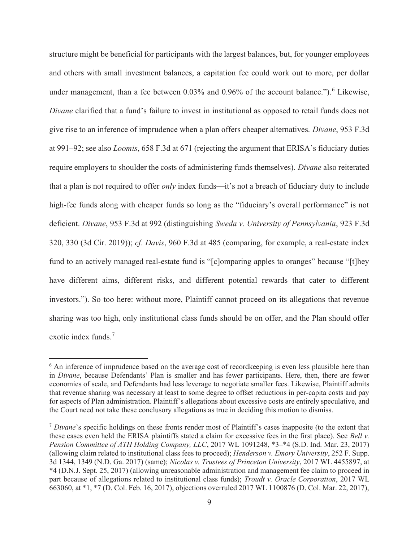structure might be beneficial for participants with the largest balances, but, for younger employees and others with small investment balances, a capitation fee could work out to more, per dollar under management, than a fee between  $0.03\%$  and  $0.96\%$  of the account balance."). <sup>6</sup> Likewise, Divane clarified that a fund's failure to invest in institutional as opposed to retail funds does not give rise to an inference of imprudence when a plan offers cheaper alternatives. Divane, 953 F.3d at 991–92; see also Loomis, 658 F.3d at 671 (rejecting the argument that ERISA's fiduciary duties require employers to shoulder the costs of administering funds themselves). Divane also reiterated that a plan is not required to offer only index funds—it's not a breach of fiduciary duty to include high-fee funds along with cheaper funds so long as the "fiduciary's overall performance" is not deficient. Divane, 953 F.3d at 992 (distinguishing Sweda v. University of Pennsylvania, 923 F.3d 320, 330 (3d Cir. 2019)); cf. Davis, 960 F.3d at 485 (comparing, for example, a real-estate index fund to an actively managed real-estate fund is "[c]omparing apples to oranges" because "[t]hey have different aims, different risks, and different potential rewards that cater to different investors."). So too here: without more, Plaintiff cannot proceed on its allegations that revenue sharing was too high, only institutional class funds should be on offer, and the Plan should offer exotic index funds.<sup>7</sup>

<sup>&</sup>lt;sup>6</sup> An inference of imprudence based on the average cost of recordkeeping is even less plausible here than in Divane, because Defendants' Plan is smaller and has fewer participants. Here, then, there are fewer economies of scale, and Defendants had less leverage to negotiate smaller fees. Likewise, Plaintiff admits that revenue sharing was necessary at least to some degree to offset reductions in per-capita costs and pay for aspects of Plan administration. Plaintiff's allegations about excessive costs are entirely speculative, and the Court need not take these conclusory allegations as true in deciding this motion to dismiss.

<sup>&</sup>lt;sup>7</sup> Divane's specific holdings on these fronts render most of Plaintiff's cases inapposite (to the extent that these cases even held the ERISA plaintiffs stated a claim for excessive fees in the first place). See Bell v. Pension Committee of ATH Holding Company, LLC, 2017 WL 1091248, \*3–\*4 (S.D. Ind. Mar. 23, 2017) (allowing claim related to institutional class fees to proceed); Henderson v. Emory University, 252 F. Supp. 3d 1344, 1349 (N.D. Ga. 2017) (same); Nicolas v. Trustees of Princeton University, 2017 WL 4455897, at \*4 (D.N.J. Sept. 25, 2017) (allowing unreasonable administration and management fee claim to proceed in part because of allegations related to institutional class funds); Troudt v. Oracle Corporation, 2017 WL 663060, at \*1, \*7 (D. Col. Feb. 16, 2017), objections overruled 2017 WL 1100876 (D. Col. Mar. 22, 2017),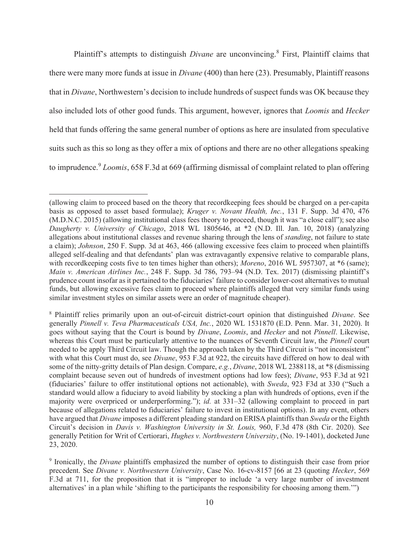Plaintiff's attempts to distinguish *Divane* are unconvincing.<sup>8</sup> First, Plaintiff claims that there were many more funds at issue in *Divane* (400) than here (23). Presumably, Plaintiff reasons that in Divane, Northwestern's decision to include hundreds of suspect funds was OK because they also included lots of other good funds. This argument, however, ignores that Loomis and Hecker held that funds offering the same general number of options as here are insulated from speculative suits such as this so long as they offer a mix of options and there are no other allegations speaking to imprudence.<sup>9</sup> Loomis, 658 F.3d at 669 (affirming dismissal of complaint related to plan offering

<sup>(</sup>allowing claim to proceed based on the theory that recordkeeping fees should be charged on a per-capita basis as opposed to asset based formulae); Kruger v. Novant Health, Inc., 131 F. Supp. 3d 470, 476 (M.D.N.C. 2015) (allowing institutional class fees theory to proceed, though it was "a close call"); see also Daugherty v. University of Chicago, 2018 WL 1805646, at \*2 (N.D. Ill. Jan. 10, 2018) (analyzing allegations about institutional classes and revenue sharing through the lens of standing, not failure to state a claim); Johnson, 250 F. Supp. 3d at 463, 466 (allowing excessive fees claim to proceed when plaintiffs alleged self-dealing and that defendants' plan was extravagantly expensive relative to comparable plans, with recordkeeping costs five to ten times higher than others); Moreno, 2016 WL 5957307, at \*6 (same); Main v. American Airlines Inc., 248 F. Supp. 3d 786, 793–94 (N.D. Tex. 2017) (dismissing plaintiff's prudence count insofar as it pertained to the fiduciaries' failure to consider lower-cost alternatives to mutual funds, but allowing excessive fees claim to proceed where plaintiffs alleged that very similar funds using similar investment styles on similar assets were an order of magnitude cheaper).

<sup>&</sup>lt;sup>8</sup> Plaintiff relies primarily upon an out-of-circuit district-court opinion that distinguished Divane. See generally Pinnell v. Teva Pharmaceuticals USA, Inc., 2020 WL 1531870 (E.D. Penn. Mar. 31, 2020). It goes without saying that the Court is bound by Divane, Loomis, and Hecker and not Pinnell. Likewise, whereas this Court must be particularly attentive to the nuances of Seventh Circuit law, the *Pinnell* court needed to be apply Third Circuit law. Though the approach taken by the Third Circuit is "not inconsistent" with what this Court must do, see *Divane*, 953 F.3d at 922, the circuits have differed on how to deal with some of the nitty-gritty details of Plan design. Compare, e.g., Divane, 2018 WL 2388118, at \*8 (dismissing complaint because seven out of hundreds of investment options had low fees); Divane, 953 F.3d at 921 (fiduciaries' failure to offer institutional options not actionable), with Sweda, 923 F3d at 330 ("Such a standard would allow a fiduciary to avoid liability by stocking a plan with hundreds of options, even if the majority were overpriced or underperforming."); id. at 331–32 (allowing complaint to proceed in part because of allegations related to fiduciaries' failure to invest in institutional options). In any event, others have argued that Divane imposes a different pleading standard on ERISA plaintiffs than Sweda or the Eighth Circuit's decision in Davis v. Washington University in St. Louis, 960, F.3d 478 (8th Cir. 2020). See generally Petition for Writ of Certiorari, Hughes v. Northwestern University, (No. 19-1401), docketed June 23, 2020.

<sup>&</sup>lt;sup>9</sup> Ironically, the *Divane* plaintiffs emphasized the number of options to distinguish their case from prior precedent. See Divane v. Northwestern University, Case No. 16-cv-8157 [66 at 23 (quoting Hecker, 569 F.3d at 711, for the proposition that it is "improper to include 'a very large number of investment alternatives' in a plan while 'shifting to the participants the responsibility for choosing among them.'")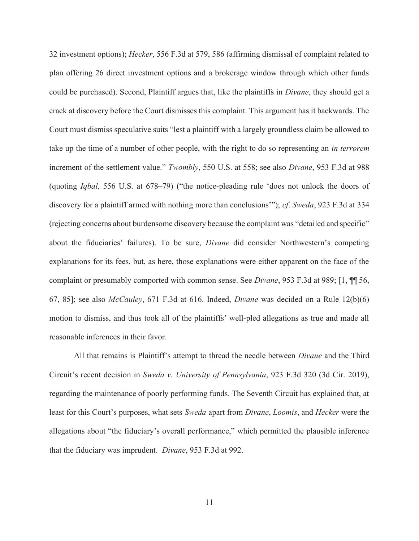32 investment options); Hecker, 556 F.3d at 579, 586 (affirming dismissal of complaint related to plan offering 26 direct investment options and a brokerage window through which other funds could be purchased). Second, Plaintiff argues that, like the plaintiffs in Divane, they should get a crack at discovery before the Court dismisses this complaint. This argument has it backwards. The Court must dismiss speculative suits "lest a plaintiff with a largely groundless claim be allowed to take up the time of a number of other people, with the right to do so representing an in terrorem increment of the settlement value." Twombly, 550 U.S. at 558; see also Divane, 953 F.3d at 988 (quoting Iqbal, 556 U.S. at 678–79) ("the notice-pleading rule 'does not unlock the doors of discovery for a plaintiff armed with nothing more than conclusions'"); cf. Sweda, 923 F.3d at 334 (rejecting concerns about burdensome discovery because the complaint was "detailed and specific" about the fiduciaries' failures). To be sure, Divane did consider Northwestern's competing explanations for its fees, but, as here, those explanations were either apparent on the face of the complaint or presumably comported with common sense. See *Divane*, 953 F.3d at 989; [1, **¶** 56, 67, 85]; see also *McCauley*, 671 F.3d at 616. Indeed, *Divane* was decided on a Rule  $12(b)(6)$ motion to dismiss, and thus took all of the plaintiffs' well-pled allegations as true and made all reasonable inferences in their favor.

All that remains is Plaintiff's attempt to thread the needle between *Divane* and the Third Circuit's recent decision in Sweda v. University of Pennsylvania, 923 F.3d 320 (3d Cir. 2019), regarding the maintenance of poorly performing funds. The Seventh Circuit has explained that, at least for this Court's purposes, what sets Sweda apart from Divane, Loomis, and Hecker were the allegations about "the fiduciary's overall performance," which permitted the plausible inference that the fiduciary was imprudent. Divane, 953 F.3d at 992.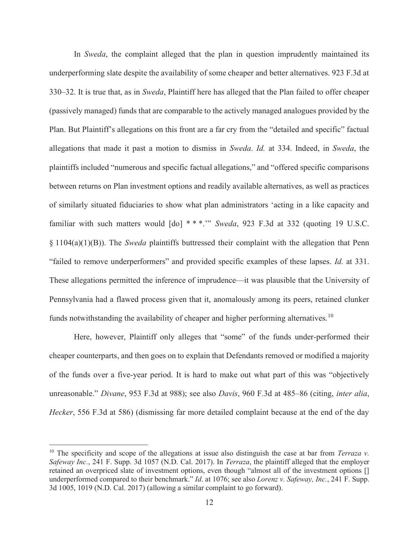In Sweda, the complaint alleged that the plan in question imprudently maintained its underperforming slate despite the availability of some cheaper and better alternatives. 923 F.3d at 330–32. It is true that, as in Sweda, Plaintiff here has alleged that the Plan failed to offer cheaper (passively managed) funds that are comparable to the actively managed analogues provided by the Plan. But Plaintiff's allegations on this front are a far cry from the "detailed and specific" factual allegations that made it past a motion to dismiss in Sweda. Id. at 334. Indeed, in Sweda, the plaintiffs included "numerous and specific factual allegations," and "offered specific comparisons between returns on Plan investment options and readily available alternatives, as well as practices of similarly situated fiduciaries to show what plan administrators 'acting in a like capacity and familiar with such matters would  $\lceil d\sigma \rceil$  \*\*\*." Sweda, 923 F.3d at 332 (quoting 19 U.S.C.  $\S$  1104(a)(1)(B)). The *Sweda* plaintiffs buttressed their complaint with the allegation that Penn "failed to remove underperformers" and provided specific examples of these lapses. Id. at 331. These allegations permitted the inference of imprudence—it was plausible that the University of Pennsylvania had a flawed process given that it, anomalously among its peers, retained clunker funds notwithstanding the availability of cheaper and higher performing alternatives.<sup>10</sup>

Here, however, Plaintiff only alleges that "some" of the funds under-performed their cheaper counterparts, and then goes on to explain that Defendants removed or modified a majority of the funds over a five-year period. It is hard to make out what part of this was "objectively unreasonable." Divane, 953 F.3d at 988); see also Davis, 960 F.3d at 485–86 (citing, inter alia, Hecker, 556 F.3d at 586) (dismissing far more detailed complaint because at the end of the day

<sup>&</sup>lt;sup>10</sup> The specificity and scope of the allegations at issue also distinguish the case at bar from *Terraza v*. Safeway Inc., 241 F. Supp. 3d 1057 (N.D. Cal. 2017). In Terraza, the plaintiff alleged that the employer retained an overpriced slate of investment options, even though "almost all of the investment options [] underperformed compared to their benchmark." Id. at 1076; see also Lorenz v. Safeway, Inc., 241 F. Supp. 3d 1005, 1019 (N.D. Cal. 2017) (allowing a similar complaint to go forward).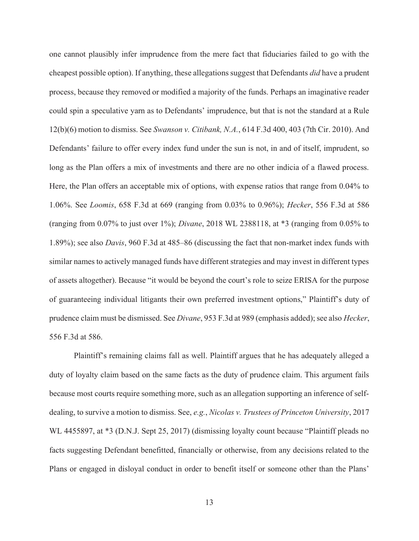one cannot plausibly infer imprudence from the mere fact that fiduciaries failed to go with the cheapest possible option). If anything, these allegations suggest that Defendants *did* have a prudent process, because they removed or modified a majority of the funds. Perhaps an imaginative reader could spin a speculative yarn as to Defendants' imprudence, but that is not the standard at a Rule 12(b)(6) motion to dismiss. See Swanson v. Citibank, N.A., 614 F.3d 400, 403 (7th Cir. 2010). And Defendants' failure to offer every index fund under the sun is not, in and of itself, imprudent, so long as the Plan offers a mix of investments and there are no other indicia of a flawed process. Here, the Plan offers an acceptable mix of options, with expense ratios that range from 0.04% to 1.06%. See Loomis, 658 F.3d at 669 (ranging from 0.03% to 0.96%); Hecker, 556 F.3d at 586 (ranging from  $0.07\%$  to just over 1%); *Divane*, 2018 WL 2388118, at  $*3$  (ranging from 0.05% to 1.89%); see also Davis, 960 F.3d at 485–86 (discussing the fact that non-market index funds with similar names to actively managed funds have different strategies and may invest in different types of assets altogether). Because "it would be beyond the court's role to seize ERISA for the purpose of guaranteeing individual litigants their own preferred investment options," Plaintiff's duty of prudence claim must be dismissed. See Divane, 953 F.3d at 989 (emphasis added); see also Hecker, 556 F.3d at 586.

Plaintiff's remaining claims fall as well. Plaintiff argues that he has adequately alleged a duty of loyalty claim based on the same facts as the duty of prudence claim. This argument fails because most courts require something more, such as an allegation supporting an inference of selfdealing, to survive a motion to dismiss. See, e.g., Nicolas v. Trustees of Princeton University, 2017 WL 4455897, at \*3 (D.N.J. Sept 25, 2017) (dismissing loyalty count because "Plaintiff pleads no facts suggesting Defendant benefitted, financially or otherwise, from any decisions related to the Plans or engaged in disloyal conduct in order to benefit itself or someone other than the Plans'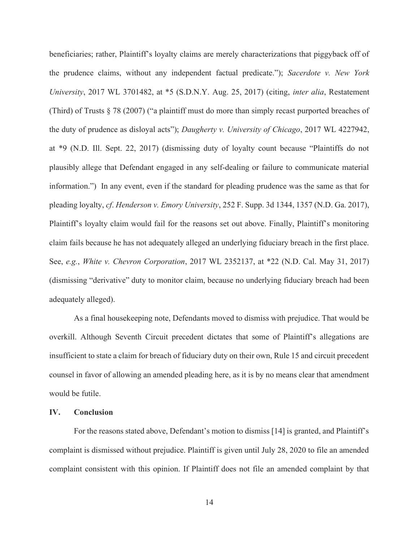beneficiaries; rather, Plaintiff's loyalty claims are merely characterizations that piggyback off of the prudence claims, without any independent factual predicate."); Sacerdote v. New York University, 2017 WL 3701482, at \*5 (S.D.N.Y. Aug. 25, 2017) (citing, *inter alia*, Restatement (Third) of Trusts § 78 (2007) ("a plaintiff must do more than simply recast purported breaches of the duty of prudence as disloyal acts"); Daugherty v. University of Chicago, 2017 WL 4227942, at \*9 (N.D. Ill. Sept. 22, 2017) (dismissing duty of loyalty count because "Plaintiffs do not plausibly allege that Defendant engaged in any self-dealing or failure to communicate material information.") In any event, even if the standard for pleading prudence was the same as that for pleading loyalty, cf. Henderson v. Emory University, 252 F. Supp. 3d 1344, 1357 (N.D. Ga. 2017), Plaintiff's loyalty claim would fail for the reasons set out above. Finally, Plaintiff's monitoring claim fails because he has not adequately alleged an underlying fiduciary breach in the first place. See, e.g., White v. Chevron Corporation, 2017 WL 2352137, at \*22 (N.D. Cal. May 31, 2017) (dismissing "derivative" duty to monitor claim, because no underlying fiduciary breach had been adequately alleged).

As a final housekeeping note, Defendants moved to dismiss with prejudice. That would be overkill. Although Seventh Circuit precedent dictates that some of Plaintiff's allegations are insufficient to state a claim for breach of fiduciary duty on their own, Rule 15 and circuit precedent counsel in favor of allowing an amended pleading here, as it is by no means clear that amendment would be futile.

### IV. Conclusion

For the reasons stated above, Defendant's motion to dismiss [14] is granted, and Plaintiff's complaint is dismissed without prejudice. Plaintiff is given until July 28, 2020 to file an amended complaint consistent with this opinion. If Plaintiff does not file an amended complaint by that